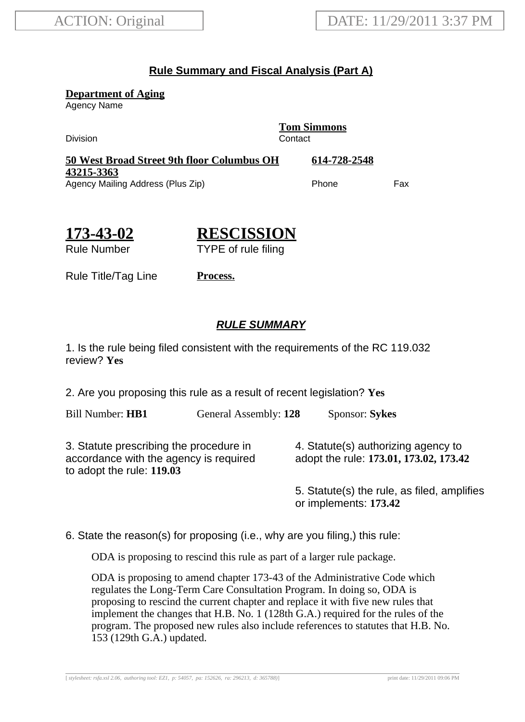## **Rule Summary and Fiscal Analysis (Part A)**

**Department of Aging**

Agency Name

Division Contact

**Tom Simmons**

**50 West Broad Street 9th floor Columbus OH 43215-3363 614-728-2548** Agency Mailing Address (Plus Zip) example and the Phone Fax

**173-43-02**

**RESCISSION** TYPE of rule filing

Rule Number

Rule Title/Tag Line **Process.**

## **RULE SUMMARY**

1. Is the rule being filed consistent with the requirements of the RC 119.032 review? **Yes**

2. Are you proposing this rule as a result of recent legislation? **Yes**

Bill Number: **HB1** General Assembly: **128** Sponsor: **Sykes**

3. Statute prescribing the procedure in accordance with the agency is required to adopt the rule: **119.03**

4. Statute(s) authorizing agency to adopt the rule: **173.01, 173.02, 173.42**

5. Statute(s) the rule, as filed, amplifies or implements: **173.42**

6. State the reason(s) for proposing (i.e., why are you filing,) this rule:

ODA is proposing to rescind this rule as part of a larger rule package.

ODA is proposing to amend chapter 173-43 of the Administrative Code which regulates the Long-Term Care Consultation Program. In doing so, ODA is proposing to rescind the current chapter and replace it with five new rules that implement the changes that H.B. No. 1 (128th G.A.) required for the rules of the program. The proposed new rules also include references to statutes that H.B. No. 153 (129th G.A.) updated.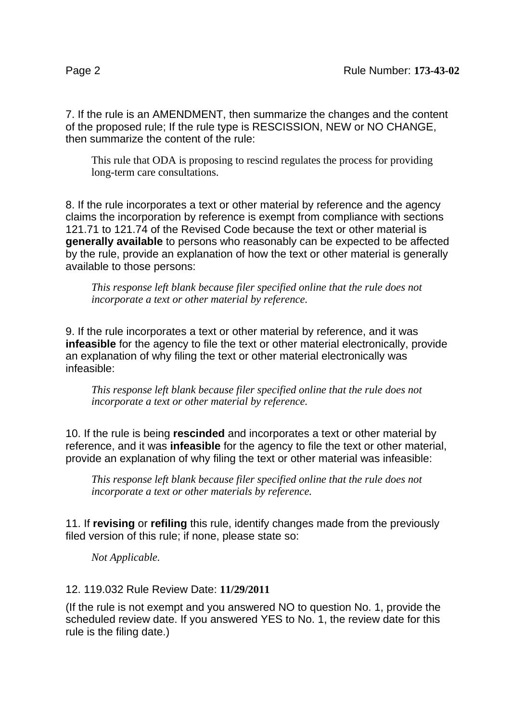7. If the rule is an AMENDMENT, then summarize the changes and the content of the proposed rule; If the rule type is RESCISSION, NEW or NO CHANGE, then summarize the content of the rule:

This rule that ODA is proposing to rescind regulates the process for providing long-term care consultations.

8. If the rule incorporates a text or other material by reference and the agency claims the incorporation by reference is exempt from compliance with sections 121.71 to 121.74 of the Revised Code because the text or other material is **generally available** to persons who reasonably can be expected to be affected by the rule, provide an explanation of how the text or other material is generally available to those persons:

*This response left blank because filer specified online that the rule does not incorporate a text or other material by reference.*

9. If the rule incorporates a text or other material by reference, and it was **infeasible** for the agency to file the text or other material electronically, provide an explanation of why filing the text or other material electronically was infeasible:

*This response left blank because filer specified online that the rule does not incorporate a text or other material by reference.*

10. If the rule is being **rescinded** and incorporates a text or other material by reference, and it was **infeasible** for the agency to file the text or other material, provide an explanation of why filing the text or other material was infeasible:

*This response left blank because filer specified online that the rule does not incorporate a text or other materials by reference.*

11. If **revising** or **refiling** this rule, identify changes made from the previously filed version of this rule; if none, please state so:

*Not Applicable.*

## 12. 119.032 Rule Review Date: **11/29/2011**

(If the rule is not exempt and you answered NO to question No. 1, provide the scheduled review date. If you answered YES to No. 1, the review date for this rule is the filing date.)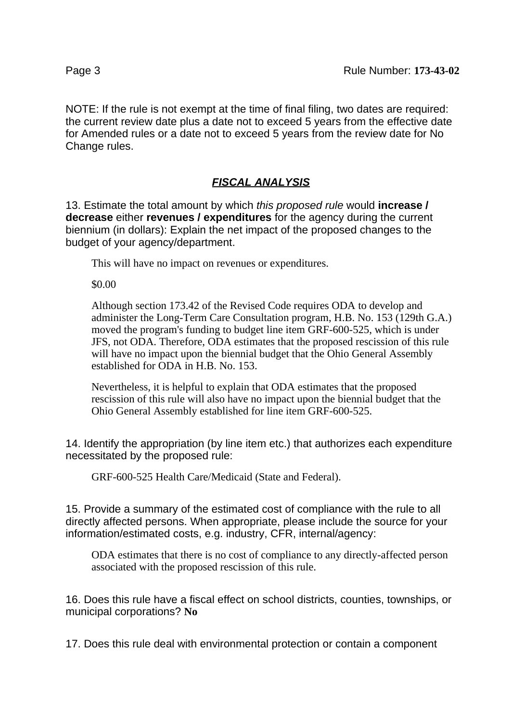NOTE: If the rule is not exempt at the time of final filing, two dates are required: the current review date plus a date not to exceed 5 years from the effective date for Amended rules or a date not to exceed 5 years from the review date for No Change rules.

## **FISCAL ANALYSIS**

13. Estimate the total amount by which this proposed rule would **increase / decrease** either **revenues / expenditures** for the agency during the current biennium (in dollars): Explain the net impact of the proposed changes to the budget of your agency/department.

This will have no impact on revenues or expenditures.

\$0.00

Although section 173.42 of the Revised Code requires ODA to develop and administer the Long-Term Care Consultation program, H.B. No. 153 (129th G.A.) moved the program's funding to budget line item GRF-600-525, which is under JFS, not ODA. Therefore, ODA estimates that the proposed rescission of this rule will have no impact upon the biennial budget that the Ohio General Assembly established for ODA in H.B. No. 153.

Nevertheless, it is helpful to explain that ODA estimates that the proposed rescission of this rule will also have no impact upon the biennial budget that the Ohio General Assembly established for line item GRF-600-525.

14. Identify the appropriation (by line item etc.) that authorizes each expenditure necessitated by the proposed rule:

GRF-600-525 Health Care/Medicaid (State and Federal).

15. Provide a summary of the estimated cost of compliance with the rule to all directly affected persons. When appropriate, please include the source for your information/estimated costs, e.g. industry, CFR, internal/agency:

ODA estimates that there is no cost of compliance to any directly-affected person associated with the proposed rescission of this rule.

16. Does this rule have a fiscal effect on school districts, counties, townships, or municipal corporations? **No**

17. Does this rule deal with environmental protection or contain a component